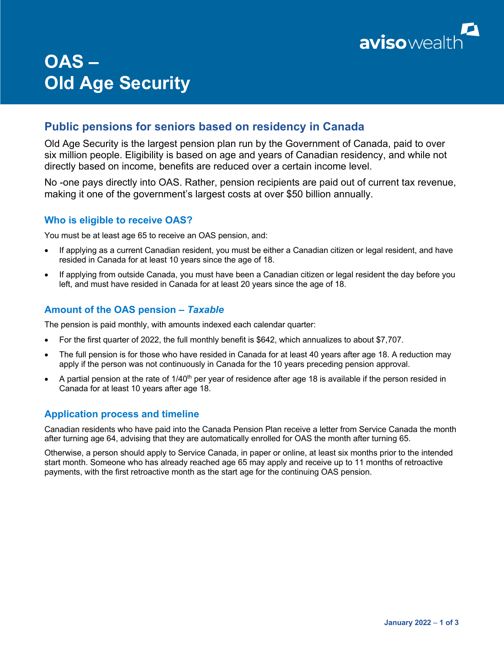

# **OAS – Old Age Security**

# **Public pensions for seniors based on residency in Canada**

Old Age Security is the largest pension plan run by the Government of Canada, paid to over six million people. Eligibility is based on age and years of Canadian residency, and while not directly based on income, benefits are reduced over a certain income level.

No -one pays directly into OAS. Rather, pension recipients are paid out of current tax revenue, making it one of the government's largest costs at over \$50 billion annually.

## **Who is eligible to receive OAS?**

You must be at least age 65 to receive an OAS pension, and:

- If applying as a current Canadian resident, you must be either a Canadian citizen or legal resident, and have resided in Canada for at least 10 years since the age of 18.
- If applying from outside Canada, you must have been a Canadian citizen or legal resident the day before you left, and must have resided in Canada for at least 20 years since the age of 18.

### **Amount of the OAS pension –** *Taxable*

The pension is paid monthly, with amounts indexed each calendar quarter:

- For the first quarter of 2022, the full monthly benefit is \$642, which annualizes to about \$7,707.
- The full pension is for those who have resided in Canada for at least 40 years after age 18. A reduction may apply if the person was not continuously in Canada for the 10 years preceding pension approval.
- A partial pension at the rate of  $1/40<sup>th</sup>$  per year of residence after age 18 is available if the person resided in Canada for at least 10 years after age 18.

### **Application process and timeline**

Canadian residents who have paid into the Canada Pension Plan receive a letter from Service Canada the month after turning age 64, advising that they are automatically enrolled for OAS the month after turning 65.

Otherwise, a person should apply to Service Canada, in paper or online, at least six months prior to the intended start month. Someone who has already reached age 65 may apply and receive up to 11 months of retroactive payments, with the first retroactive month as the start age for the continuing OAS pension.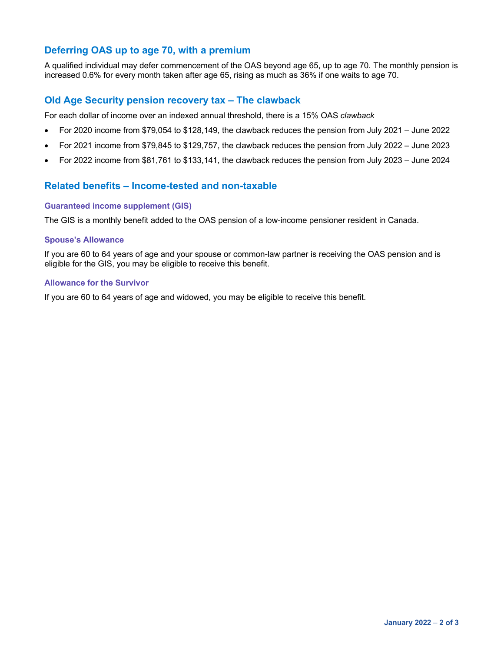# **Deferring OAS up to age 70, with a premium**

A qualified individual may defer commencement of the OAS beyond age 65, up to age 70. The monthly pension is increased 0.6% for every month taken after age 65, rising as much as 36% if one waits to age 70.

#### **Old Age Security pension recovery tax – The clawback**

For each dollar of income over an indexed annual threshold, there is a 15% OAS *clawback*

- For 2020 income from \$79,054 to \$128,149, the clawback reduces the pension from July 2021 June 2022
- For 2021 income from \$79,845 to \$129,757, the clawback reduces the pension from July 2022 June 2023
- For 2022 income from \$81,761 to \$133,141, the clawback reduces the pension from July 2023 June 2024

### **Related benefits – Income-tested and non-taxable**

#### **Guaranteed income supplement (GIS)**

The GIS is a monthly benefit added to the OAS pension of a low-income pensioner resident in Canada.

#### **Spouse's Allowance**

If you are 60 to 64 years of age and your spouse or common-law partner is receiving the OAS pension and is eligible for the GIS, you may be eligible to receive this benefit.

#### **Allowance for the Survivor**

If you are 60 to 64 years of age and widowed, you may be eligible to receive this benefit.